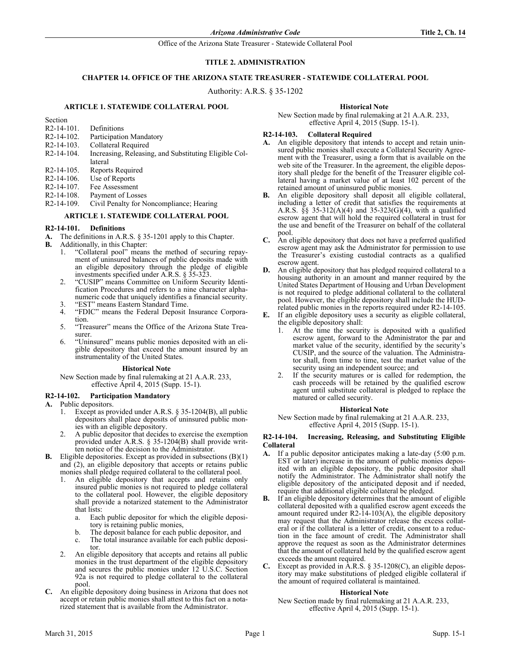Office of the Arizona State Treasurer - Statewide Collateral Pool

# **TITLE 2. ADMINISTRATION**

# **CHAPTER 14. OFFICE OF THE ARIZONA STATE TREASURER - STATEWIDE COLLATERAL POOL**

Authority: A.R.S. § 35-1202

### **ARTICLE 1. STATEWIDE COLLATERAL POOL**

Section

- R2-14-101. Definitions
- R2-14-102. Participation Mandatory
- R2-14-103. Collateral Required
- R2-14-104. Increasing, Releasing, and Substituting Eligible Collateral R2-14-105. Reports Required
- 
- R2-14-106. Use of Reports R2-14-107. Fee Assessment
- R2-14-108. Payment of Losses
- R2-14-109. Civil Penalty for Noncompliance; Hearing

# **ARTICLE 1. STATEWIDE COLLATERAL POOL**

## **R2-14-101. Definitions**

- **A.** The definitions in A.R.S. § 35-1201 apply to this Chapter.
- **B.** Additionally, in this Chapter:
	- 1. "Collateral pool" means the method of securing repayment of uninsured balances of public deposits made with an eligible depository through the pledge of eligible investments specified under A.R.S. § 35-323.
	- 2. "CUSIP" means Committee on Uniform Security Identification Procedures and refers to a nine character alphanumeric code that uniquely identifies a financial security.
	- 3. "EST" means Eastern Standard Time.<br>4. "FDIC" means the Federal Deposit
	- 4. "FDIC" means the Federal Deposit Insurance Corporation.
	- 5. "Treasurer" means the Office of the Arizona State Treasurer.
	- 6. "Uninsured" means public monies deposited with an eligible depository that exceed the amount insured by an instrumentality of the United States.

#### **Historical Note**

New Section made by final rulemaking at 21 A.A.R. 233, effective April 4, 2015 (Supp. 15-1).

### **R2-14-102. Participation Mandatory**

- **A.** Public depositors.
	- 1. Except as provided under A.R.S. § 35-1204(B), all public depositors shall place deposits of uninsured public monies with an eligible depository.
	- 2. A public depositor that decides to exercise the exemption provided under A.R.S. § 35-1204(B) shall provide written notice of the decision to the Administrator.
- **B.** Eligible depositories. Except as provided in subsections (B)(1) and (2), an eligible depository that accepts or retains public monies shall pledge required collateral to the collateral pool.
	- An eligible depository that accepts and retains only insured public monies is not required to pledge collateral to the collateral pool. However, the eligible depository shall provide a notarized statement to the Administrator that lists:
		- a. Each public depositor for which the eligible depository is retaining public monies,
		- b. The deposit balance for each public depositor, and
		- c. The total insurance available for each public depositor.
	- 2. An eligible depository that accepts and retains all public monies in the trust department of the eligible depository and secures the public monies under 12 U.S.C. Section 92a is not required to pledge collateral to the collateral pool.
- **C.** An eligible depository doing business in Arizona that does not accept or retain public monies shall attest to this fact on a notarized statement that is available from the Administrator.

### **Historical Note**

New Section made by final rulemaking at 21 A.A.R. 233, effective April 4, 2015 (Supp. 15-1).

## **R2-14-103. Collateral Required**

- **A.** An eligible depository that intends to accept and retain uninsured public monies shall execute a Collateral Security Agreement with the Treasurer, using a form that is available on the web site of the Treasurer. In the agreement, the eligible depository shall pledge for the benefit of the Treasurer eligible collateral having a market value of at least 102 percent of the retained amount of uninsured public monies.
- **B.** An eligible depository shall deposit all eligible collateral, including a letter of credit that satisfies the requirements at A.R.S. §§ 35-312(A)(4) and 35-323(G)(4), with a qualified escrow agent that will hold the required collateral in trust for the use and benefit of the Treasurer on behalf of the collateral pool.
- **C.** An eligible depository that does not have a preferred qualified escrow agent may ask the Administrator for permission to use the Treasurer's existing custodial contracts as a qualified escrow agent.
- **D.** An eligible depository that has pledged required collateral to a housing authority in an amount and manner required by the United States Department of Housing and Urban Development is not required to pledge additional collateral to the collateral pool. However, the eligible depository shall include the HUDrelated public monies in the reports required under R2-14-105.
- **E.** If an eligible depository uses a security as eligible collateral, the eligible depository shall:
	- 1. At the time the security is deposited with a qualified escrow agent, forward to the Administrator the par and market value of the security, identified by the security's CUSIP, and the source of the valuation. The Administrator shall, from time to time, test the market value of the security using an independent source; and
	- 2. If the security matures or is called for redemption, the cash proceeds will be retained by the qualified escrow agent until substitute collateral is pledged to replace the matured or called security.

### **Historical Note**

New Section made by final rulemaking at 21 A.A.R. 233, effective April 4, 2015 (Supp. 15-1).

### **R2-14-104. Increasing, Releasing, and Substituting Eligible Collateral**

- **A.** If a public depositor anticipates making a late-day (5:00 p.m. EST or later) increase in the amount of public monies deposited with an eligible depository, the public depositor shall notify the Administrator. The Administrator shall notify the eligible depository of the anticipated deposit and if needed, require that additional eligible collateral be pledged.
- **B.** If an eligible depository determines that the amount of eligible collateral deposited with a qualified escrow agent exceeds the amount required under R2-14-103(A), the eligible depository may request that the Administrator release the excess collateral or if the collateral is a letter of credit, consent to a reduction in the face amount of credit. The Administrator shall approve the request as soon as the Administrator determines that the amount of collateral held by the qualified escrow agent exceeds the amount required.
- Except as provided in  $\hat{A}$ .R.S. § 35-1208(C), an eligible depository may make substitutions of pledged eligible collateral if the amount of required collateral is maintained.

### **Historical Note**

New Section made by final rulemaking at 21 A.A.R. 233, effective April 4, 2015 (Supp. 15-1).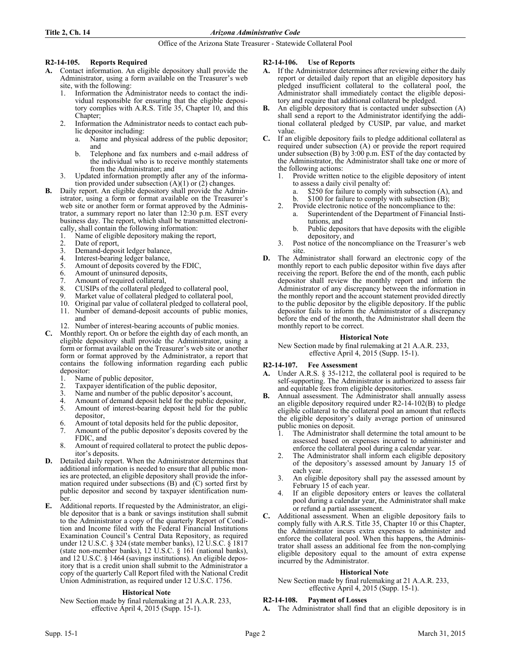Office of the Arizona State Treasurer - Statewide Collateral Pool

## **R2-14-105. Reports Required**

- **A.** Contact information. An eligible depository shall provide the Administrator, using a form available on the Treasurer's web site, with the following:
	- 1. Information the Administrator needs to contact the individual responsible for ensuring that the eligible depository complies with A.R.S. Title 35, Chapter 10, and this Chapter;
	- 2. Information the Administrator needs to contact each public depositor including:
		- a. Name and physical address of the public depositor; and
		- b. Telephone and fax numbers and e-mail address of the individual who is to receive monthly statements from the Administrator; and
	- 3. Updated information promptly after any of the information provided under subsection  $(A)(1)$  or  $(2)$  changes.
- **B.** Daily report. An eligible depository shall provide the Administrator, using a form or format available on the Treasurer's web site or another form or format approved by the Administrator, a summary report no later than 12:30 p.m. EST every business day. The report, which shall be transmitted electronically, shall contain the following information:
	- 1. Name of eligible depository making the report,
	-
	- 2. Date of report,<br>3. Demand-denos
	- 3. Demand-deposit ledger balance,<br>4. Interest-bearing ledger balance.
	- 4. Interest-bearing ledger balance,<br>5. Amount of deposits covered by 5. Amount of deposits covered by the FDIC,<br>6. Amount of uninsured deposits,
	- Amount of uninsured deposits,
	- 7. Amount of required collateral,<br>8. CUSIPs of the collateral pledge
	- CUSIPs of the collateral pledged to collateral pool,
	- 9. Market value of collateral pledged to collateral pool, 10. Original par value of collateral pledged to collateral
	- 10. Original par value of collateral pledged to collateral pool, 11. Number of demand-deposit accounts of public monies, and
	- 12. Number of interest-bearing accounts of public monies.
- **C.** Monthly report. On or before the eighth day of each month, an eligible depository shall provide the Administrator, using a form or format available on the Treasurer's web site or another form or format approved by the Administrator, a report that contains the following information regarding each public depositor:
	- 1. Name of public depositor,<br>2. Taxpayer identification of
	- 2. Taxpayer identification of the public depositor,<br>3. Name and number of the public depositor's acce
	- 3. Name and number of the public depositor's account,
	- Amount of demand deposit held for the public depositor,
	- 5. Amount of interest-bearing deposit held for the public depositor,
	- 6. Amount of total deposits held for the public depositor,
	- 7. Amount of the public depositor's deposits covered by the FDIC, and
	- 8. Amount of required collateral to protect the public depositor's deposits.
- **D.** Detailed daily report. When the Administrator determines that additional information is needed to ensure that all public monies are protected, an eligible depository shall provide the information required under subsections (B) and (C) sorted first by public depositor and second by taxpayer identification number.
- **E.** Additional reports. If requested by the Administrator, an eligible depositor that is a bank or savings institution shall submit to the Administrator a copy of the quarterly Report of Condition and Income filed with the Federal Financial Institutions Examination Council's Central Data Repository, as required under 12 U.S.C. § 324 (state member banks), 12 U.S.C. § 1817 (state non-member banks), 12 U.S.C. § 161 (national banks), and 12 U.S.C. § 1464 (savings institutions). An eligible depository that is a credit union shall submit to the Administrator a copy of the quarterly Call Report filed with the National Credit Union Administration, as required under 12 U.S.C. 1756.

### **Historical Note**

New Section made by final rulemaking at 21 A.A.R. 233, effective April 4, 2015 (Supp. 15-1).

## **R2-14-106. Use of Reports**

- **A.** If the Administrator determines after reviewing either the daily report or detailed daily report that an eligible depository has pledged insufficient collateral to the collateral pool, the Administrator shall immediately contact the eligible depository and require that additional collateral be pledged.
- An eligible depository that is contacted under subsection (A) shall send a report to the Administrator identifying the additional collateral pledged by CUSIP, par value, and market value.
- **C.** If an eligible depository fails to pledge additional collateral as required under subsection (A) or provide the report required under subsection (B) by  $3:00$  p.m. EST of the day contacted by the Administrator, the Administrator shall take one or more of the following actions:
	- 1. Provide written notice to the eligible depository of intent to assess a daily civil penalty of:
		- a. \$250 for failure to comply with subsection (A), and
		- b. \$100 for failure to comply with subsection (B);
	- 2. Provide electronic notice of the noncompliance to the:
		- a. Superintendent of the Department of Financial Institutions, and
		- b. Public depositors that have deposits with the eligible depository, and
	- 3. Post notice of the noncompliance on the Treasurer's web site.
- **D.** The Administrator shall forward an electronic copy of the monthly report to each public depositor within five days after receiving the report. Before the end of the month, each public depositor shall review the monthly report and inform the Administrator of any discrepancy between the information in the monthly report and the account statement provided directly to the public depositor by the eligible depository. If the public depositor fails to inform the Administrator of a discrepancy before the end of the month, the Administrator shall deem the monthly report to be correct.

### **Historical Note**

New Section made by final rulemaking at 21 A.A.R. 233, effective April 4, 2015 (Supp. 15-1).

### **R2-14-107. Fee Assessment**

- **A.** Under A.R.S. § 35-1212, the collateral pool is required to be self-supporting. The Administrator is authorized to assess fair and equitable fees from eligible depositories.
- **B.** Annual assessment. The Administrator shall annually assess an eligible depository required under R2-14-102(B) to pledge eligible collateral to the collateral pool an amount that reflects the eligible depository's daily average portion of uninsured public monies on deposit.
	- The Administrator shall determine the total amount to be assessed based on expenses incurred to administer and enforce the collateral pool during a calendar year.
	- 2. The Administrator shall inform each eligible depository of the depository's assessed amount by January 15 of each year.
	- 3. An eligible depository shall pay the assessed amount by February 15 of each year.
	- 4. If an eligible depository enters or leaves the collateral pool during a calendar year, the Administrator shall make or refund a partial assessment.
- **C.** Additional assessment. When an eligible depository fails to comply fully with A.R.S. Title 35, Chapter 10 or this Chapter, the Administrator incurs extra expenses to administer and enforce the collateral pool. When this happens, the Administrator shall assess an additional fee from the non-complying eligible depository equal to the amount of extra expense incurred by the Administrator.

### **Historical Note**

New Section made by final rulemaking at 21 A.A.R. 233, effective April 4, 2015 (Supp. 15-1).

### **R2-14-108. Payment of Losses**

**A.** The Administrator shall find that an eligible depository is in